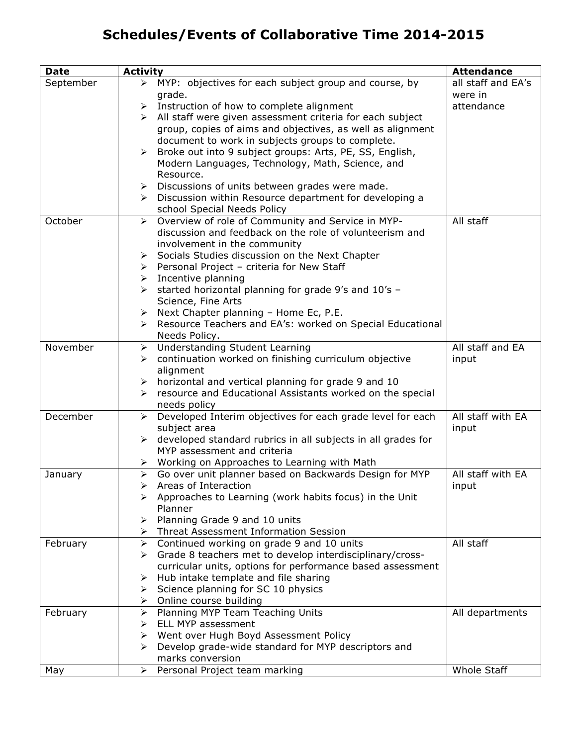## **Schedules/Events of Collaborative Time 2014-2015**

| <b>Date</b> | <b>Activity</b>                                                                  | <b>Attendance</b>  |
|-------------|----------------------------------------------------------------------------------|--------------------|
| September   | > MYP: objectives for each subject group and course, by                          | all staff and EA's |
|             | grade.                                                                           | were in            |
|             | $\triangleright$ Instruction of how to complete alignment                        | attendance         |
|             | > All staff were given assessment criteria for each subject                      |                    |
|             | group, copies of aims and objectives, as well as alignment                       |                    |
|             | document to work in subjects groups to complete.                                 |                    |
|             | Broke out into 9 subject groups: Arts, PE, SS, English,<br>$\blacktriangleright$ |                    |
|             | Modern Languages, Technology, Math, Science, and                                 |                    |
|             | Resource.                                                                        |                    |
|             | > Discussions of units between grades were made.                                 |                    |
|             | > Discussion within Resource department for developing a                         |                    |
|             | school Special Needs Policy                                                      |                    |
| October     | Overview of role of Community and Service in MYP-<br>$\triangleright$            | All staff          |
|             | discussion and feedback on the role of volunteerism and                          |                    |
|             | involvement in the community                                                     |                    |
|             | Socials Studies discussion on the Next Chapter<br>➤                              |                    |
|             | > Personal Project - criteria for New Staff                                      |                    |
|             | Incentive planning<br>≻                                                          |                    |
|             | started horizontal planning for grade 9's and 10's -<br>≻                        |                    |
|             | Science, Fine Arts                                                               |                    |
|             | Next Chapter planning - Home Ec, P.E.<br>≻                                       |                    |
|             | Resource Teachers and EA's: worked on Special Educational<br>≻                   |                    |
|             | Needs Policy.                                                                    |                    |
| November    | <b>Understanding Student Learning</b><br>≻                                       | All staff and EA   |
|             | continuation worked on finishing curriculum objective<br>➤                       | input              |
|             | alignment                                                                        |                    |
|             | horizontal and vertical planning for grade 9 and 10<br>➤                         |                    |
|             | resource and Educational Assistants worked on the special<br>➤                   |                    |
|             | needs policy                                                                     |                    |
| December    | Developed Interim objectives for each grade level for each<br>➤                  | All staff with EA  |
|             | subject area                                                                     | input              |
|             | developed standard rubrics in all subjects in all grades for<br>≻                |                    |
|             | MYP assessment and criteria                                                      |                    |
|             | ▶ Working on Approaches to Learning with Math                                    |                    |
| January     | Go over unit planner based on Backwards Design for MYP<br>≻                      | All staff with EA  |
|             | Areas of Interaction                                                             | input              |
|             | $\triangleright$ Approaches to Learning (work habits focus) in the Unit          |                    |
|             | Planner                                                                          |                    |
|             | Planning Grade 9 and 10 units<br>➤                                               |                    |
|             | Threat Assessment Information Session                                            |                    |
| February    | Continued working on grade 9 and 10 units<br>$\blacktriangleright$               | All staff          |
|             | Grade 8 teachers met to develop interdisciplinary/cross-<br>≻                    |                    |
|             | curricular units, options for performance based assessment                       |                    |
|             | Hub intake template and file sharing<br>➤                                        |                    |
|             | Science planning for SC 10 physics<br>➤                                          |                    |
|             | Online course building<br>➤                                                      |                    |
| February    | Planning MYP Team Teaching Units<br>➤                                            | All departments    |
|             | ELL MYP assessment<br>➤                                                          |                    |
|             | Went over Hugh Boyd Assessment Policy<br>➤                                       |                    |
|             | Develop grade-wide standard for MYP descriptors and<br>⋗                         |                    |
|             | marks conversion                                                                 |                    |
| May         | Personal Project team marking<br>➤                                               | Whole Staff        |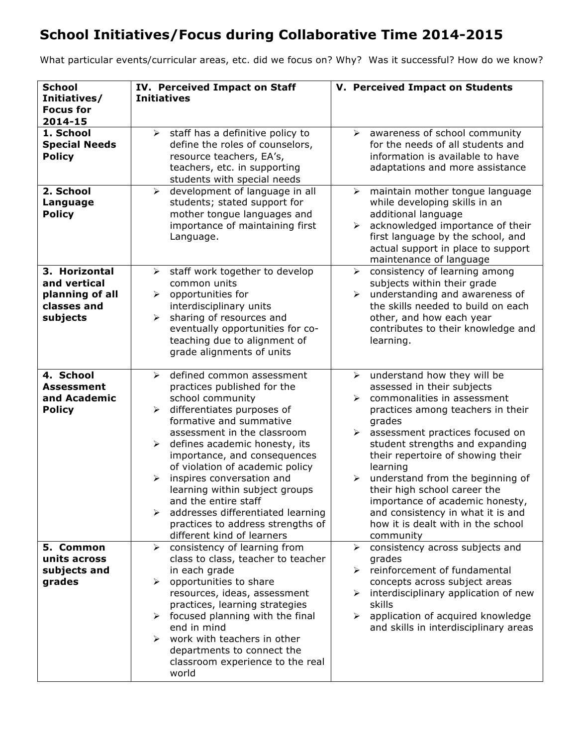## **School Initiatives/Focus during Collaborative Time 2014-2015**

What particular events/curricular areas, etc. did we focus on? Why? Was it successful? How do we know?

| <b>School</b><br>Initiatives/<br><b>Focus for</b>                           | IV. Perceived Impact on Staff<br><b>Initiatives</b>                                                                                                                                                                                                                                                                                                                                                                                                                                                                              | V. Perceived Impact on Students                                                                                                                                                                                                                                                                                                                                                                                                                                                             |
|-----------------------------------------------------------------------------|----------------------------------------------------------------------------------------------------------------------------------------------------------------------------------------------------------------------------------------------------------------------------------------------------------------------------------------------------------------------------------------------------------------------------------------------------------------------------------------------------------------------------------|---------------------------------------------------------------------------------------------------------------------------------------------------------------------------------------------------------------------------------------------------------------------------------------------------------------------------------------------------------------------------------------------------------------------------------------------------------------------------------------------|
| 2014-15<br>1. School<br><b>Special Needs</b><br><b>Policy</b>               | $\triangleright$ staff has a definitive policy to<br>define the roles of counselors,<br>resource teachers, EA's,<br>teachers, etc. in supporting<br>students with special needs                                                                                                                                                                                                                                                                                                                                                  | awareness of school community<br>➤<br>for the needs of all students and<br>information is available to have<br>adaptations and more assistance                                                                                                                                                                                                                                                                                                                                              |
| 2. School<br>Language<br><b>Policy</b>                                      | development of language in all<br>$\blacktriangleright$<br>students; stated support for<br>mother tongue languages and<br>importance of maintaining first<br>Language.                                                                                                                                                                                                                                                                                                                                                           | maintain mother tongue language<br>$\blacktriangleright$<br>while developing skills in an<br>additional language<br>acknowledged importance of their<br>$\blacktriangleright$<br>first language by the school, and<br>actual support in place to support<br>maintenance of language                                                                                                                                                                                                         |
| 3. Horizontal<br>and vertical<br>planning of all<br>classes and<br>subjects | staff work together to develop<br>≻<br>common units<br>opportunities for<br>$\blacktriangleright$<br>interdisciplinary units<br>sharing of resources and<br>$\blacktriangleright$<br>eventually opportunities for co-<br>teaching due to alignment of<br>grade alignments of units                                                                                                                                                                                                                                               | consistency of learning among<br>$\blacktriangleright$<br>subjects within their grade<br>understanding and awareness of<br>$\blacktriangleright$<br>the skills needed to build on each<br>other, and how each year<br>contributes to their knowledge and<br>learning.                                                                                                                                                                                                                       |
| 4. School<br><b>Assessment</b><br>and Academic<br><b>Policy</b>             | defined common assessment<br>≻<br>practices published for the<br>school community<br>$\triangleright$ differentiates purposes of<br>formative and summative<br>assessment in the classroom<br>defines academic honesty, its<br>➤<br>importance, and consequences<br>of violation of academic policy<br>inspires conversation and<br>$\blacktriangleright$<br>learning within subject groups<br>and the entire staff<br>addresses differentiated learning<br>≻<br>practices to address strengths of<br>different kind of learners | understand how they will be<br>$\blacktriangleright$<br>assessed in their subjects<br>commonalities in assessment<br>practices among teachers in their<br>grades<br>assessment practices focused on<br>➤<br>student strengths and expanding<br>their repertoire of showing their<br>learning<br>understand from the beginning of<br>their high school career the<br>importance of academic honesty,<br>and consistency in what it is and<br>how it is dealt with in the school<br>community |
| 5. Common<br>units across<br>subjects and<br>grades                         | consistency of learning from<br>≻<br>class to class, teacher to teacher<br>in each grade<br>opportunities to share<br>≻<br>resources, ideas, assessment<br>practices, learning strategies<br>focused planning with the final<br>≻<br>end in mind<br>$\triangleright$ work with teachers in other<br>departments to connect the<br>classroom experience to the real<br>world                                                                                                                                                      | consistency across subjects and<br>➤<br>grades<br>$\triangleright$ reinforcement of fundamental<br>concepts across subject areas<br>interdisciplinary application of new<br>$\blacktriangleright$<br>skills<br>application of acquired knowledge<br>➤<br>and skills in interdisciplinary areas                                                                                                                                                                                              |